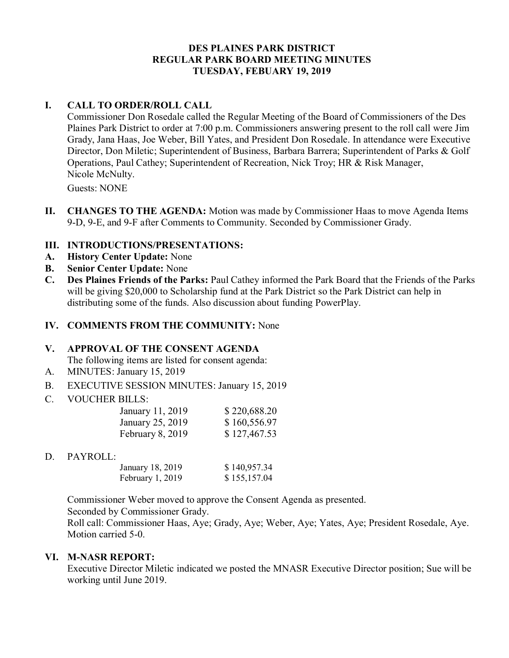### **DES PLAINES PARK DISTRICT REGULAR PARK BOARD MEETING MINUTES TUESDAY, FEBUARY 19, 2019**

### **I. CALL TO ORDER/ROLL CALL**

Commissioner Don Rosedale called the Regular Meeting of the Board of Commissioners of the Des Plaines Park District to order at 7:00 p.m. Commissioners answering present to the roll call were Jim Grady, Jana Haas, Joe Weber, Bill Yates, and President Don Rosedale. In attendance were Executive Director, Don Miletic; Superintendent of Business, Barbara Barrera; Superintendent of Parks & Golf Operations, Paul Cathey; Superintendent of Recreation, Nick Troy; HR & Risk Manager, Nicole McNulty.

Guests: NONE

**II. CHANGES TO THE AGENDA:** Motion was made by Commissioner Haas to move Agenda Items 9-D, 9-E, and 9-F after Comments to Community. Seconded by Commissioner Grady.

## **III. INTRODUCTIONS/PRESENTATIONS:**

- **A. History Center Update:** None
- **B. Senior Center Update:** None
- **C. Des Plaines Friends of the Parks:** Paul Cathey informed the Park Board that the Friends of the Parks will be giving \$20,000 to Scholarship fund at the Park District so the Park District can help in distributing some of the funds. Also discussion about funding PowerPlay.

#### **IV. COMMENTS FROM THE COMMUNITY:** None

#### **V. APPROVAL OF THE CONSENT AGENDA**

The following items are listed for consent agenda:

- A. MINUTES: January 15, 2019
- B. EXECUTIVE SESSION MINUTES: January 15, 2019
- C. VOUCHER BILLS:

| January 11, 2019 | \$220,688.20 |
|------------------|--------------|
| January 25, 2019 | \$160,556.97 |
| February 8, 2019 | \$127,467.53 |

D. PAYROLL:

| January 18, 2019 | \$140,957.34 |
|------------------|--------------|
| February 1, 2019 | \$155,157.04 |

Commissioner Weber moved to approve the Consent Agenda as presented.

Seconded by Commissioner Grady.

Roll call: Commissioner Haas, Aye; Grady, Aye; Weber, Aye; Yates, Aye; President Rosedale, Aye. Motion carried 5-0.

### **VI. M-NASR REPORT:**

Executive Director Miletic indicated we posted the MNASR Executive Director position; Sue will be working until June 2019.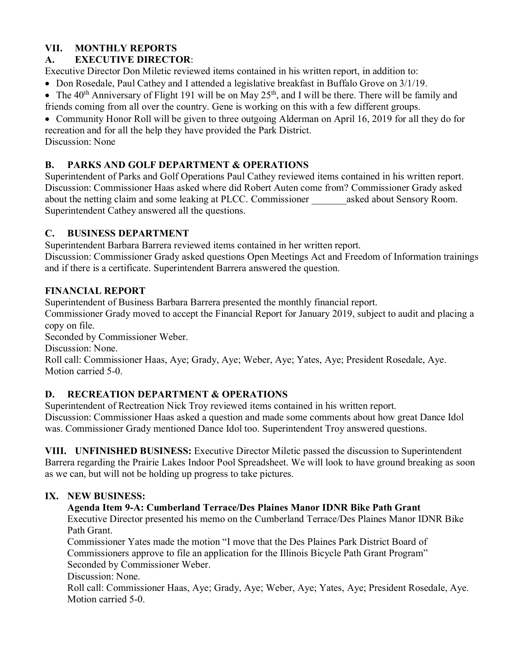# **VII. MONTHLY REPORTS**

## **A. EXECUTIVE DIRECTOR**:

Executive Director Don Miletic reviewed items contained in his written report, in addition to:

- Don Rosedale, Paul Cathey and I attended a legislative breakfast in Buffalo Grove on 3/1/19.
- The  $40<sup>th</sup>$  Anniversary of Flight 191 will be on May  $25<sup>th</sup>$ , and I will be there. There will be family and friends coming from all over the country. Gene is working on this with a few different groups.
- Community Honor Roll will be given to three outgoing Alderman on April 16, 2019 for all they do for recreation and for all the help they have provided the Park District.

Discussion: None

# **B. PARKS AND GOLF DEPARTMENT & OPERATIONS**

Superintendent of Parks and Golf Operations Paul Cathey reviewed items contained in his written report. Discussion: Commissioner Haas asked where did Robert Auten come from? Commissioner Grady asked about the netting claim and some leaking at PLCC. Commissioner \_\_\_\_\_\_\_asked about Sensory Room. Superintendent Cathey answered all the questions.

# **C. BUSINESS DEPARTMENT**

Superintendent Barbara Barrera reviewed items contained in her written report.

Discussion: Commissioner Grady asked questions Open Meetings Act and Freedom of Information trainings and if there is a certificate. Superintendent Barrera answered the question.

## **FINANCIAL REPORT**

Superintendent of Business Barbara Barrera presented the monthly financial report.

Commissioner Grady moved to accept the Financial Report for January 2019, subject to audit and placing a copy on file.

Seconded by Commissioner Weber.

Discussion: None.

Roll call: Commissioner Haas, Aye; Grady, Aye; Weber, Aye; Yates, Aye; President Rosedale, Aye. Motion carried 5-0.

# **D. RECREATION DEPARTMENT & OPERATIONS**

Superintendent of Rectreation Nick Troy reviewed items contained in his written report.

Discussion: Commissioner Haas asked a question and made some comments about how great Dance Idol was. Commissioner Grady mentioned Dance Idol too. Superintendent Troy answered questions.

**VIII. UNFINISHED BUSINESS:** Executive Director Miletic passed the discussion to Superintendent Barrera regarding the Prairie Lakes Indoor Pool Spreadsheet. We will look to have ground breaking as soon as we can, but will not be holding up progress to take pictures.

# **IX. NEW BUSINESS:**

## **Agenda Item 9-A: Cumberland Terrace/Des Plaines Manor IDNR Bike Path Grant**

Executive Director presented his memo on the Cumberland Terrace/Des Plaines Manor IDNR Bike Path Grant.

Commissioner Yates made the motion "I move that the Des Plaines Park District Board of Commissioners approve to file an application for the Illinois Bicycle Path Grant Program" Seconded by Commissioner Weber.

Discussion: None.

Roll call: Commissioner Haas, Aye; Grady, Aye; Weber, Aye; Yates, Aye; President Rosedale, Aye. Motion carried 5-0.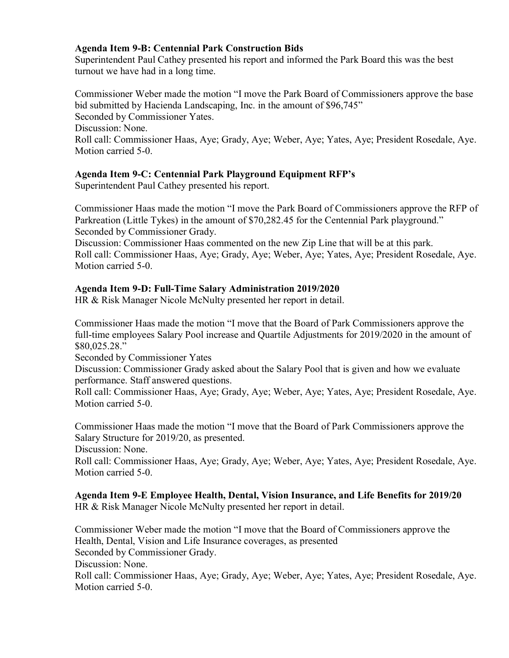#### **Agenda Item 9-B: Centennial Park Construction Bids**

Superintendent Paul Cathey presented his report and informed the Park Board this was the best turnout we have had in a long time.

Commissioner Weber made the motion "I move the Park Board of Commissioners approve the base bid submitted by Hacienda Landscaping, Inc. in the amount of \$96,745" Seconded by Commissioner Yates. Discussion: None. Roll call: Commissioner Haas, Aye; Grady, Aye; Weber, Aye; Yates, Aye; President Rosedale, Aye. Motion carried 5-0.

### **Agenda Item 9-C: Centennial Park Playground Equipment RFP's**

Superintendent Paul Cathey presented his report.

Commissioner Haas made the motion "I move the Park Board of Commissioners approve the RFP of Parkreation (Little Tykes) in the amount of \$70,282.45 for the Centennial Park playground." Seconded by Commissioner Grady.

Discussion: Commissioner Haas commented on the new Zip Line that will be at this park. Roll call: Commissioner Haas, Aye; Grady, Aye; Weber, Aye; Yates, Aye; President Rosedale, Aye. Motion carried 5-0.

### **Agenda Item 9-D: Full-Time Salary Administration 2019/2020**

HR & Risk Manager Nicole McNulty presented her report in detail.

Commissioner Haas made the motion "I move that the Board of Park Commissioners approve the full-time employees Salary Pool increase and Quartile Adjustments for 2019/2020 in the amount of \$80,025.28."

Seconded by Commissioner Yates

Discussion: Commissioner Grady asked about the Salary Pool that is given and how we evaluate performance. Staff answered questions.

Roll call: Commissioner Haas, Aye; Grady, Aye; Weber, Aye; Yates, Aye; President Rosedale, Aye. Motion carried 5-0

Commissioner Haas made the motion "I move that the Board of Park Commissioners approve the Salary Structure for 2019/20, as presented.

Discussion: None.

Roll call: Commissioner Haas, Aye; Grady, Aye; Weber, Aye; Yates, Aye; President Rosedale, Aye. Motion carried 5-0.

**Agenda Item 9-E Employee Health, Dental, Vision Insurance, and Life Benefits for 2019/20** HR & Risk Manager Nicole McNulty presented her report in detail.

Commissioner Weber made the motion "I move that the Board of Commissioners approve the Health, Dental, Vision and Life Insurance coverages, as presented Seconded by Commissioner Grady. Discussion: None.

Roll call: Commissioner Haas, Aye; Grady, Aye; Weber, Aye; Yates, Aye; President Rosedale, Aye. Motion carried 5-0.